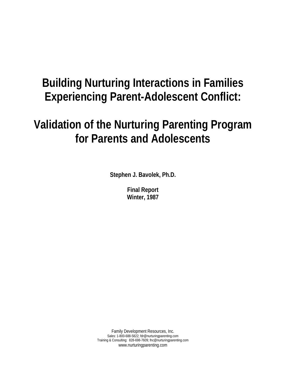# **Building Nurturing Interactions in Families Experiencing Parent-Adolescent Conflict:**

# **Validation of the Nurturing Parenting Program for Parents and Adolescents**

**Stephen J. Bavolek, Ph.D.** 

**Final Report Winter, 1987** 

Family Development Resources, Inc. Sales: 1-800-688-5822; fdr@nurturingparenting.com Training & Consulting: 828-698-7609; fnc@nurturingparenting.com www.nurturingparenting.com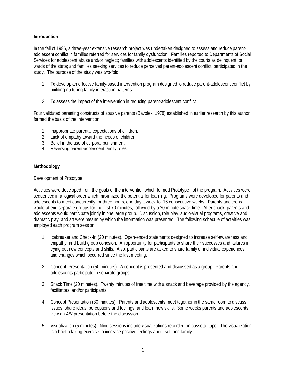# **Introduction**

In the fall of 1986, a three-year extensive research project was undertaken designed to assess and reduce parentadolescent conflict in families referred for services for family dysfunction. Families reported to Departments of Social Services for adolescent abuse and/or neglect; families with adolescents identified by the courts as delinquent, or wards of the state; and families seeking services to reduce perceived parent-adolescent conflict, participated in the study. The purpose of the study was two-fold:

- 1. To develop an effective family-based intervention program designed to reduce parent-adolescent conflict by building nurturing family interaction patterns.
- 2. To assess the impact of the intervention in reducing parent-adolescent conflict

Four validated parenting constructs of abusive parents (Bavolek, 1978) established in earlier research by this author formed the basis of the intervention.

- 1. Inappropriate parental expectations of children.
- 2. Lack of empathy toward the needs of children.
- 3. Belief in the use of corporal punishment.
- 4. Reversing parent-adolescent family roles.

# **Methodology**

# Development of Prototype I

Activities were developed from the goals of the intervention which formed Prototype I of the program. Activities were sequenced in a logical order which maximized the potential for learning. Programs were developed for parents and adolescents to meet concurrently for three hours, one day a week for 16 consecutive weeks. Parents and teens would attend separate groups for the first 70 minutes, followed by a 20 minute snack time. After snack, parents and adolescents would participate jointly in one large group. Discussion, role play, audio-visual programs, creative and dramatic play, and art were means by which the information was presented. The following schedule of activities was employed each program session:

- 1. Icebreaker and Check-In (20 minutes). Open-ended statements designed to increase self-awareness and empathy, and build group cohesion. An opportunity for participants to share their successes and failures in trying out new concepts and skills. Also, participants are asked to share family or individual experiences and changes which occurred since the last meeting.
- 2. Concept Presentation (50 minutes). A concept is presented and discussed as a group. Parents and adolescents participate in separate groups.
- 3. Snack Time (20 minutes). Twenty minutes of free time with a snack and beverage provided by the agency, facilitators, and/or participants.
- 4. Concept Presentation (80 minutes). Parents and adolescents meet together in the same room to discuss issues, share ideas, perceptions and feelings, and learn new skills. Some weeks parents and adolescents view an A/V presentation before the discussion.
- 5. Visualization (5 minutes). Nine sessions include visualizations recorded on cassette tape. The visualization is a brief relaxing exercise to increase positive feelings about self and family.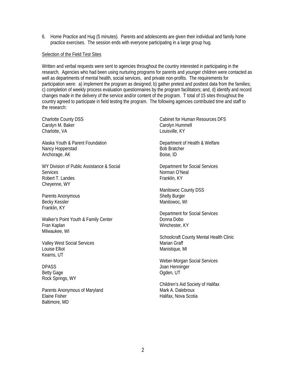6. Home Practice and Hug (5 minutes). Parents and adolescents are given their individual and family home practice exercises. The session ends with everyone participating in a large group hug.

#### Selection of the Field Test Sites

Written and verbal requests were sent to agencies throughout the country interested in participating in the research. Agencies who had been using nurturing programs for parents and younger children were contacted as well as departments of mental health, social services, and private non-profits. The requirements for participation were: a) implement the program as designed; b) gather pretest and posttest data from the families; c) completion of weekly process evaluation questionnaires by the program facilitators; and, d) identify and record changes made in the delivery of the service and/or content of the program. T total of 15 sites throughout the country agreed to participate in field testing the program. The following agencies contributed time and staff to the research:

Charlotte County DSS Carolyn M. Baker Charlotte, VA

Alaska Youth & Parent Foundation Nancy Hopperstad Anchorage, AK

WY Division of Public Assistance & Social **Services** Robert T. Landes Cheyenne, WY

Parents Anonymous Becky Kessler Franklin, KY

Walker's Point Youth & Family Center Fran Kaplan Milwaukee, WI

Valley West Social Services Louise Elliot Kearns, UT

DPASS Betty Gage Rock Springs, WY

Parents Anonymous of Maryland Elaine Fisher Baltimore, MD

Cabinet for Human Resources DFS Carolyn Hummell Louisville, KY

Department of Health & Welfare Bob Bratcher Boise, ID

Department for Social Services Norman O'Neal Franklin, KY

Manitowoc County DSS Shelly Burger Manitowoc, WI

Department for Social Services Donna Dobo Winchester, KY

Schoolcraft County Mental Health Clinic Marian Graff Manistique, MI

Weber-Morgan Social Services Joan Henninger Ogden, UT

Children's Aid Society of Halifax Mark A. Dalebroux Halifax, Nova Scotia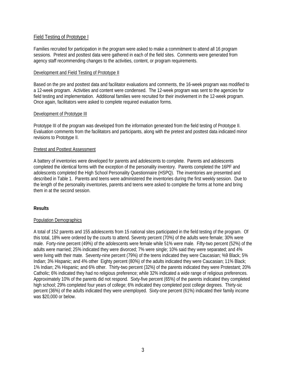# Field Testing of Prototype I

Families recruited for participation in the program were asked to make a commitment to attend all 16 program sessions. Pretest and posttest data were gathered in each of the field sites. Comments were generated from agency staff recommending changes to the activities, content, or program requirements.

## Development and Field Testing of Prototype II

Based on the pre and posttest data and facilitator evaluations and comments, the 16-week program was modified to a 12-week program. Activities and content were condensed. The 12-week program was sent to the agencies for field testing and implementation. Additional families were recruited for their involvement in the 12-week program. Once again, facilitators were asked to complete required evaluation forms.

# Development of Prototype III

Prototype III of the program was developed from the information generated from the field testing of Prototype II. Evaluation comments from the facilitators and participants, along with the pretest and posttest data indicated minor revisions to Prototype II.

# Pretest and Posttest Assessment

A battery of inventories were developed for parents and adolescents to complete. Parents and adolescents completed the identical forms with the exception of the personality inventory. Parents completed the 16PF and adolescents completed the High School Personality Questionnaire (HSPQ). The inventories are presented and described in Table 1. Parents and teens were administered the inventories during the first weekly session. Due to the length of the personality inventories, parents and teens were asked to complete the forms at home and bring them in at the second session.

# **Results**

## Population Demographics

A total of 152 parents and 155 adolescents from 15 national sites participated in the field testing of the program. Of this total, 18% were ordered by the courts to attend. Seventy percent (70%) of the adults were female; 30% were male. Forty-nine percent (49%) of the adolescents were female while 51% were male. Fifty-two percent (52%) of the adults were married; 25% indicated they were divorced; 7% were single; 10% said they were separated; and 4% were living with their mate. Seventy-nine percent (79%) of the teens indicated they were Caucasian; %9 Black; 5% Indian; 3% Hispanic; and 4% other Eighty percent (80%) of the adults indicated they were Caucasian; 11% Black; 1% Indian; 2% Hispanic; and 6% other. Thirty-two percent (32%) of the parents indicated they were Protestant; 20% Catholic; 6% indicated they had no religious preference; while 32% indicated a wide range of religious preferences. Approximately 10% of the parents did not respond. Sixty-five percent (65%) of the parents indicated they completed high school; 29% completed four years of college; 6% indicated they completed post college degrees. Thirty-sic percent (36%) of the adults indicated they were unemployed. Sixty-one percent (61%) indicated their family income was \$20,000 or below.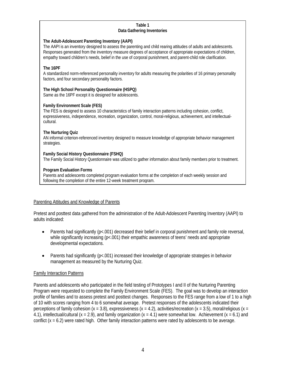#### **Table 1 Data Gathering Inventories**

# **The Adult-Adolescent Parenting Inventory (AAPI)**

The AAPI is an inventory designed to assess the parenting and child rearing attitudes of adults and adolescents. Responses generated from the inventory measure degrees of acceptance of appropriate expectations of children, empathy toward children's needs, belief in the use of corporal punishment, and parent-child role clarification.

# **The 16PF**

A standardized norm-referenced personality inventory for adults measuring the polarities of 16 primary personality factors, and four secondary personality factors.

## **The High School Personality Questionnaire (HSPQ)**

Same as the 16PF except it is designed for adolescents.

## **Family Environment Scale (FES)**

The FES is designed to assess 10 characteristics of family interaction patterns including cohesion, conflict, expressiveness, independence, recreation, organization, control, moral-religious, achievement, and intellectualcultural.

## **The Nurturing Quiz**

AN informal criterion-referenced inventory designed to measure knowledge of appropriate behavior management strategies.

## **Family Social History Questionnaire (FSHQ)**

The Family Social History Questionnaire was utilized to gather information about family members prior to treatment.

## **Program Evaluation Forms**

Parents and adolescents completed program evaluation forms at the completion of each weekly session and following the completion of the entire 12-week treatment program.

# Parenting Attitudes and Knowledge of Parents

Pretest and posttest data gathered from the administration of the Adult-Adolescent Parenting Inventory (AAPI) to adults indicated:

- Parents had significantly (p<.001) decreased their belief in corporal punishment and family role reversal, while significantly increasing (p<.001) their empathic awareness of teens' needs and appropriate developmental expectations.
- Parents had significantly (p<.001) increased their knowledge of appropriate strategies in behavior management as measured by the Nurturing Quiz.

## Family Interaction Patterns

Parents and adolescents who participated in the field testing of Prototypes I and II of the Nurturing Parenting Program were requested to complete the Family Environment Scale (FES). The goal was to develop an interaction profile of families and to assess pretest and posttest changes. Responses to the FES range from a low of 1 to a high of 10 with scores ranging from 4 to 6 somewhat average. Pretest responses of the adolescents indicated their perceptions of family cohesion  $(x = 3.8)$ , expressiveness  $(x = 4.2)$ , activities/recreation  $(x = 3.5)$ , moral/religious  $(x = 3.5)$ 4.1), intellectual/cultural  $(x = 2.9)$ , and family organization  $(x = 4.1)$  were somewhat low. Achievement  $(x = 6.1)$  and conflict  $(x = 6.2)$  were rated high. Other family interaction patterns were rated by adolescents to be average.